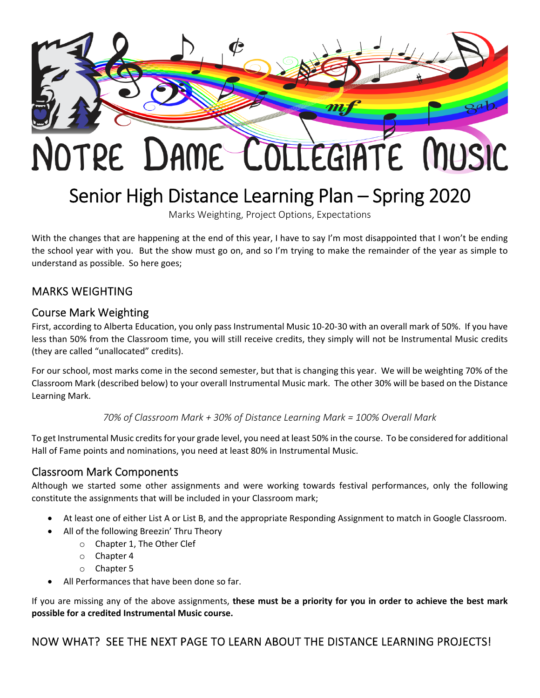

# Senior High Distance Learning Plan – Spring 2020

Marks Weighting, Project Options, Expectations

With the changes that are happening at the end of this year, I have to say I'm most disappointed that I won't be ending the school year with you. But the show must go on, and so I'm trying to make the remainder of the year as simple to understand as possible. So here goes;

## MARKS WEIGHTING

#### Course Mark Weighting

First, according to Alberta Education, you only pass Instrumental Music 10‐20‐30 with an overall mark of 50%. If you have less than 50% from the Classroom time, you will still receive credits, they simply will not be Instrumental Music credits (they are called "unallocated" credits).

For our school, most marks come in the second semester, but that is changing this year. We will be weighting 70% of the Classroom Mark (described below) to your overall Instrumental Music mark. The other 30% will be based on the Distance Learning Mark.

*70% of Classroom Mark + 30% of Distance Learning Mark = 100% Overall Mark*

To get Instrumental Music creditsfor your grade level, you need at least 50% in the course. To be considered for additional Hall of Fame points and nominations, you need at least 80% in Instrumental Music.

#### Classroom Mark Components

Although we started some other assignments and were working towards festival performances, only the following constitute the assignments that will be included in your Classroom mark;

- At least one of either List A or List B, and the appropriate Responding Assignment to match in Google Classroom.
	- All of the following Breezin' Thru Theory
		- o Chapter 1, The Other Clef
		- o Chapter 4
		- o Chapter 5
- All Performances that have been done so far.

If you are missing any of the above assignments, **these must be a priority for you in order to achieve the best mark possible for a credited Instrumental Music course.**

NOW WHAT? SEE THE NEXT PAGE TO LEARN ABOUT THE DISTANCE LEARNING PROJECTS!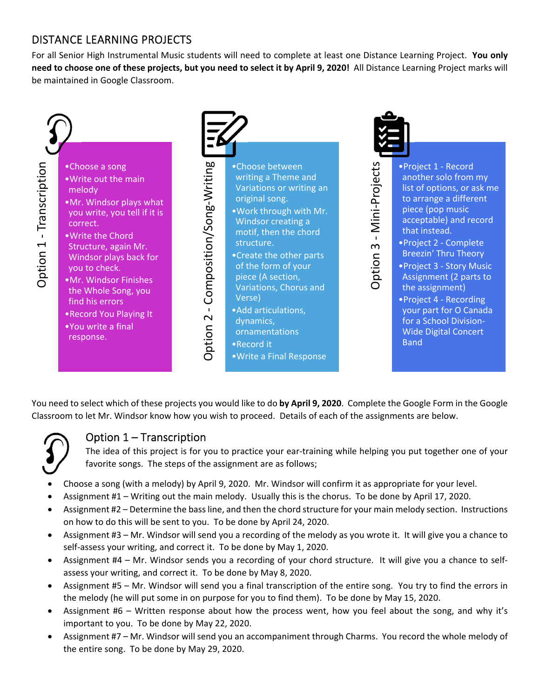## DISTANCE LEARNING PROJECTS

For all Senior High Instrumental Music students will need to complete at least one Distance Learning Project. **You only** need to choose one of these projects, but you need to select it by April 9, 2020! All Distance Learning Project marks will be maintained in Google Classroom.



You need to select which of these projects you would like to do **by April 9, 2020**. Complete the Google Form in the Google Classroom to let Mr. Windsor know how you wish to proceed. Details of each of the assignments are below.



# Option 1 – Transcription

The idea of this project is for you to practice your ear-training while helping you put together one of your favorite songs. The steps of the assignment are as follows;

- Choose a song (with a melody) by April 9, 2020. Mr. Windsor will confirm it as appropriate for your level.
- Assignment #1 Writing out the main melody. Usually this is the chorus. To be done by April 17, 2020.
- Assignment #2 Determine the bassline, and then the chord structure for your main melody section. Instructions on how to do this will be sent to you. To be done by April 24, 2020.
- Assignment #3 Mr. Windsor will send you a recording of the melody as you wrote it. It will give you a chance to self-assess your writing, and correct it. To be done by May 1, 2020.
- Assignment #4 Mr. Windsor sends you a recording of your chord structure. It will give you a chance to self‐ assess your writing, and correct it. To be done by May 8, 2020.
- Assignment #5 Mr. Windsor will send you a final transcription of the entire song. You try to find the errors in the melody (he will put some in on purpose for you to find them). To be done by May 15, 2020.
- Assignment #6 Written response about how the process went, how you feel about the song, and why it's important to you. To be done by May 22, 2020.
- Assignment #7 Mr. Windsor will send you an accompaniment through Charms. You record the whole melody of the entire song. To be done by May 29, 2020.